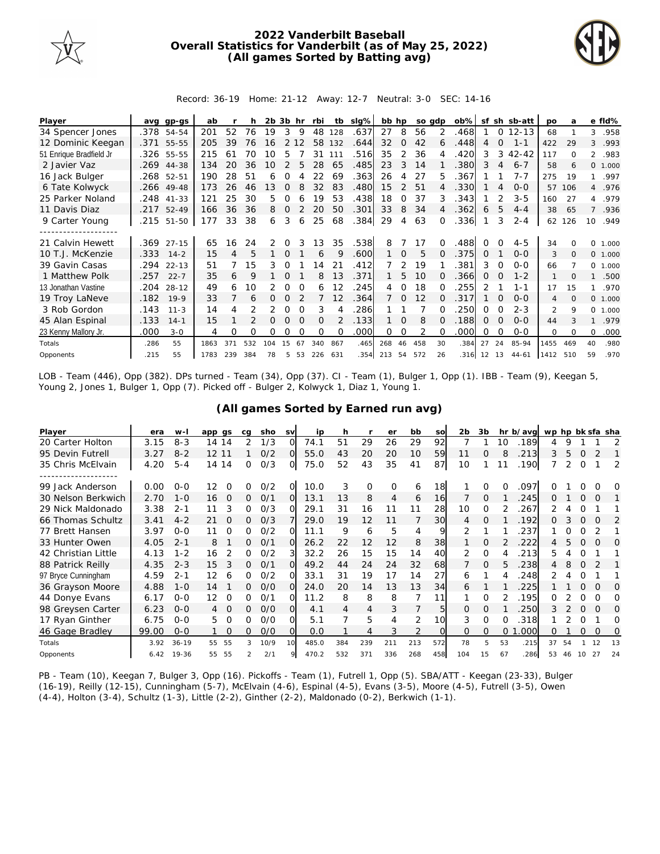

## **2022 Vanderbilt Baseball Overall Statistics for Vanderbilt (as of May 25, 2022) (All games Sorted by Batting avg)**



Record: 36-19 Home: 21-12 Away: 12-7 Neutral: 3-0 SEC: 14-16

| Player                  | ava  | gp-gs      | ab   |     |     | $2b$ $3b$ hr |               |          | rbi      | tb            | slg% | bb hp |               |     | so adp   | $ob\%$     | sf            |          | sh sb-att | <b>DO</b>      | a        |                | e fld%   |
|-------------------------|------|------------|------|-----|-----|--------------|---------------|----------|----------|---------------|------|-------|---------------|-----|----------|------------|---------------|----------|-----------|----------------|----------|----------------|----------|
| 34 Spencer Jones        | .378 | 54-54      | 201  | 52  | 76  | 19           | 3             | 9        | 48       | 128           | .637 | 27    | 8             | 56  | 2        | .468       |               | $\Omega$ | $12 - 13$ | 68             |          | 3              | .958     |
| 12 Dominic Keegan       |      | .371 55-55 | 205  | 39  | 76  | 16           |               |          | 58       | 132           | .644 | 32    | $\Omega$      | 42  | 6        | .448       | 4             | $\Omega$ | $1 - 1$   | 422            | 29       | 3              | .993     |
| 51 Enrique Bradfield Jr |      | .326 55-55 | 215  | 61  | 70  | 10           | 5             |          | 31       | 111           | .516 | 35    | $\mathcal{P}$ | 36  |          | 420        | 3             | 3        | $42 - 42$ | 117            | $\Omega$ | $\overline{2}$ | .983     |
| 2 Javier Vaz            | .269 | 44-38      | 134  | 20  | 36  | $10 \,$      | $\mathcal{P}$ | 5        | 28       | 65            | .485 | 23    | 3             | 14  |          | .380       | 3             | 4        | $6 - 7$   | 58             | 6        |                | 0, 1,000 |
| 16 Jack Bulger          |      | .268 52-51 | 190  | 28  | 51  | 6            | Ω             |          | 22       | 69            | .363 | 26    | 4             | 27  | 5.       | .367       |               |          | $7 - 7$   | 275            | 19       | $\mathbf{1}$   | .997     |
| 6 Tate Kolwyck          | .266 | $49 - 48$  | 173  | 26  | 46  | 13           | $\Omega$      |          | 32       | 83            | .480 | 15    | $\mathcal{P}$ | 51  | 4        | .330       |               | 4        | $0 - 0$   | 57             | 106      |                | 4 .976   |
| 25 Parker Noland        | .248 | $41 - 33$  | 121  | 25  | 30  | 5.           | 0             | 6        | 19       | 53            | .438 | 18    | <sup>o</sup>  | 37  | 3        | .343       |               |          | $3 - 5$   | 160            | 27       | 4              | .979     |
| 11 Davis Diaz           |      | .217 52-49 | 166  | 36  | 36  | 8            | $\Omega$      |          | 20       | 50            | .301 | 33    | 8             | 34  |          | .362       | 6             | 5        | $4 - 4$   | 38             | 65       |                | .936     |
| 9 Carter Young          | .215 | 51-50      | 177  | 33  | 38  | 6            | 3             | 6        | 25       | 68            | .384 | 29    | 4             | 63  |          | .336       |               | 3        | $2 - 4$   | 62             | 126      | 10             | .949     |
|                         |      |            |      |     |     |              |               |          |          |               |      |       |               |     |          |            |               |          |           |                |          |                |          |
| 21 Calvin Hewett        |      | .369 27-15 | 65   | 16  | 24  | 2            | 0             |          | 13       | 35            | .538 | 8     |               |     |          | 488        |               |          | $4 - 5$   | 34             |          | $\Omega$       | 1.000    |
| 10 T.J. McKenzie        | .333 | $14 - 2$   | 15   | 4   | 5   |              | $\Omega$      |          | 6        | Q             | .600 |       | $\Omega$      | 5   |          | .375       | $\Omega$      |          | $O-O$     | 3              | $\Omega$ |                | 0 1.000  |
| 39 Gavin Casas          | .294 | $22 - 13$  | 51   |     | 15  | 3            | 0             |          | 14       | 21            | .412 |       | 2             | 19  |          | .381       | 3             | $\Omega$ | $O-O$     | 66             |          |                | 0 1.000  |
| 1 Matthew Polk          | .257 | $22 - 7$   | 35   | 6   | 9   |              | $\Omega$      |          | 8        | 13            | .371 |       | 5             | 10  |          | .366       | $\Omega$      | $\Omega$ | $1 - 2$   |                | ∩        |                | .500     |
| 13 Jonathan Vastine     | .204 | $28 - 12$  | 49   | 6   | 10  |              | 0             |          | 6        | 12            | 245  | 4     | 0             | 18  |          | 255        | $\mathcal{P}$ |          | $1 - 1$   | 17             | 15       |                | .970     |
| 19 Troy LaNeve          | .182 | $19-9$     | 33   |     | 6   | 0            | 0             |          |          | 12            | .364 |       | 0             | 12  |          | 317        |               | $\Omega$ | $O-O$     | 4              | $\Omega$ |                | 0 1.000  |
| 3 Rob Gordon            | .143 | $11 - 3$   | 14   |     |     | 2            | $\Omega$      | $\Omega$ | 3        |               | 286  |       |               |     |          | 250        | $\Omega$      | O        | $2 - 3$   | $\mathfrak{D}$ | 9        | $\Omega$       | 1.000    |
| 45 Alan Espinal         | .133 | $14 - 1$   | 15   |     |     | 0            | $\Omega$      | $\Omega$ | $\Omega$ | $\mathcal{P}$ | .133 |       | $\Omega$      | 8   | $\Omega$ | .188       | 0             | $\Omega$ | $O-O$     | 44             |          |                | .979     |
| 23 Kenny Mallory Jr.    | .000 | $3 - 0$    | 4    | O   | Ω   | O            | O             |          | $\Omega$ | $\Omega$      | .000 | 0     | 0             | 2   |          | .000       | Ω             | $\Omega$ | $O-O$     | $\Omega$       | $\Omega$ | $\Omega$       | .000     |
| Totals                  | .286 | 55         | 1863 | 371 | 532 | 104          | 15            | 67       | 340      | 867           | .465 | 268   | 46            | 458 | 30       | .384       | 27            | 24       | 85-94     | 1455           | 469      | 40             | .980     |
| Opponents               | .215 | 55         | 1783 | 239 | 384 | 78           | 5             | 53       | 226 631  |               | 354  | 213   | 54            | 572 | 26       | .316 12 13 |               |          | $44 - 61$ | 1412           | 510      | 59             | .970     |

LOB - Team (446), Opp (382). DPs turned - Team (34), Opp (37). CI - Team (1), Bulger 1, Opp (1). IBB - Team (9), Keegan 5, Young 2, Jones 1, Bulger 1, Opp (7). Picked off - Bulger 2, Kolwyck 1, Diaz 1, Young 1.

| Player              | era   | $W -$     | app gs         | cq | sho  | <b>SV</b> | ip    | h   |                | er       | bb  | SO       | 2 <sub>b</sub> | 3b       |    | hr b/avg | wp hp bk sfa sha |    |          |          |          |
|---------------------|-------|-----------|----------------|----|------|-----------|-------|-----|----------------|----------|-----|----------|----------------|----------|----|----------|------------------|----|----------|----------|----------|
| 20 Carter Holton    | 3.15  | $8 - 3$   | 14 14          | 2  | 1/3  | O         | 74.1  | 51  | 29             | 26       | 29  | 92       |                |          | 10 | .189     | 4                | 9  |          |          |          |
| 95 Devin Futrell    | 3.27  | $8 - 2$   | 12 11          |    | O/2  | Ω         | 55.0  | 43  | 20             | 20       | 10  | 59       | 11             | 0        | 8  | 213      | 3                | 5  | $\Omega$ |          |          |
| 35 Chris McElvain   | 4.20  | $5 - 4$   | 14 14          | 0  | O/3  | O         | 75.0  | 52  | 43             | 35       | 41  | 87       | 10             |          |    | 190      |                  | 2  | $\Omega$ |          | 2        |
|                     |       |           |                |    |      |           |       |     |                |          |     |          |                |          |    |          |                  |    |          |          |          |
| 99 Jack Anderson    | 0.00  | $O - O$   | 12<br>$\Omega$ | 0  | O/2  | 0         | 10.0  | 3   | $\Omega$       | $\Omega$ | 6   | 18       |                | $\Omega$ |    | 097      |                  |    |          |          | O        |
| 30 Nelson Berkwich  | 2.70  | $1 - 0$   | $\Omega$<br>16 | 0  | 0/1  | $\Omega$  | 13.1  | 13  | 8              | 4        | 6   | 16       |                | $\Omega$ |    | 245      | 0                |    | $\Omega$ | O        |          |
| 29 Nick Maldonado   | 3.38  | $2 - 1$   | 3<br>11        | 0  | O/3  | O         | 29.1  | 31  | 16             | 11       | 11  | 28       | 10             | $\Omega$ |    | 267      |                  |    | Ω        |          |          |
| 66 Thomas Schultz   | 3.41  | $4 - 2$   | 21<br>O        | 0  | O/3  |           | 29.0  | 19  | 12             | 11       |     | 30       | 4              | $\Omega$ |    | 192      | 0                |    | $\Omega$ | $\Omega$ | 2        |
| 77 Brett Hansen     | 3.97  | $0 - 0$   | 11<br>O        | 0  | O/2  | Ω         | 11.1  | 9   | 6              | 5        | 4   | 9        | 2              |          |    | 237      |                  |    | O        |          |          |
| 33 Hunter Owen      | 4.05  | $2 - 1$   | 8              | 0  | 0/1  | $\Omega$  | 26.2  | 22  | 12             | 12       | 8   | 38       |                | $\Omega$ |    | 222      | 4                |    | $\Omega$ | $\Omega$ | $\Omega$ |
| 42 Christian Little | 4.13  | $1 - 2$   | 16             | 0  | O/2  | 3         | 32.2  | 26  | 15             | 15       | 14  | 40       | 2              | 0        |    | 213      | 5.               |    | O        |          |          |
| 88 Patrick Reilly   | 4.35  | $2 - 3$   | 3<br>15        | 0  | O/1  | Ω         | 49.2  | 44  | 24             | 24       | 32  | 68       |                | $\Omega$ | 5. | 238      | 4                | 8  | 0        |          |          |
| 97 Bryce Cunningham | 4.59  | $2 - 1$   | 12<br>6        | 0  | 0/2  | Ω         | 33.1  | 31  | 19             | 17       | 14  | 27       | 6              |          |    | .248     |                  |    |          |          |          |
| 36 Grayson Moore    | 4.88  | $1 - 0$   | 14             | 0  | O/O  | Ω         | 24.0  | 20  | 14             | 13       | 13  | 34       | 6              |          |    | 225      |                  |    |          | $\Omega$ | O        |
| 44 Donye Evans      | 6.17  | $0 - 0$   | 12<br>O        | 0  | 0/1  | Ω         | 11.2  | 8   | 8              | 8        |     | 11       |                | $\Omega$ |    | .195     | 0                |    | 0        | 0        | 0        |
| 98 Greysen Carter   | 6.23  | $O-O$     | O              | 0  | O/O  | $\Omega$  | 4.1   | 4   | 4              | 3        |     | 5        | 0              | $\Omega$ |    | 250      | 3                |    | $\Omega$ | $\Omega$ | O        |
| 17 Ryan Ginther     | 6.75  | $0 - 0$   | 5<br>O         | 0  | O/O  | O         | 5.1   |     | 5              | 4        | 2   | 10       | 3              | $\Omega$ |    | 318      |                  |    | O        |          | Ω        |
| 46 Gage Bradley     | 99.00 | $0 - 0$   | $\Omega$       | 0  | O/O  | O         | 0.0   |     | $\overline{4}$ | 3        | 2   | $\Omega$ | 0              | $\Omega$ | 0  | 000      | 0                |    | $\Omega$ | $\Omega$ | 0        |
| Totals              | 3.92  | $36 - 19$ | 55<br>55       | 3  | 10/9 | 10        | 485.0 | 384 | 239            | 211      | 213 | 572      | 78             | 5        | 53 | .215     | 37               | 54 |          | 12       | 13       |
| Opponents           | 6.42  | 19-36     | 55<br>55       | 2  | 2/1  |           | 470.2 | 532 | 371            | 336      | 268 | 458      | 104            | 15       | 67 | 286      | 53               | 46 | 10       | 27       | 24       |

**(All games Sorted by Earned run avg)**

PB - Team (10), Keegan 7, Bulger 3, Opp (16). Pickoffs - Team (1), Futrell 1, Opp (5). SBA/ATT - Keegan (23-33), Bulger (16-19), Reilly (12-15), Cunningham (5-7), McElvain (4-6), Espinal (4-5), Evans (3-5), Moore (4-5), Futrell (3-5), Owen (4-4), Holton (3-4), Schultz (1-3), Little (2-2), Ginther (2-2), Maldonado (0-2), Berkwich (1-1).